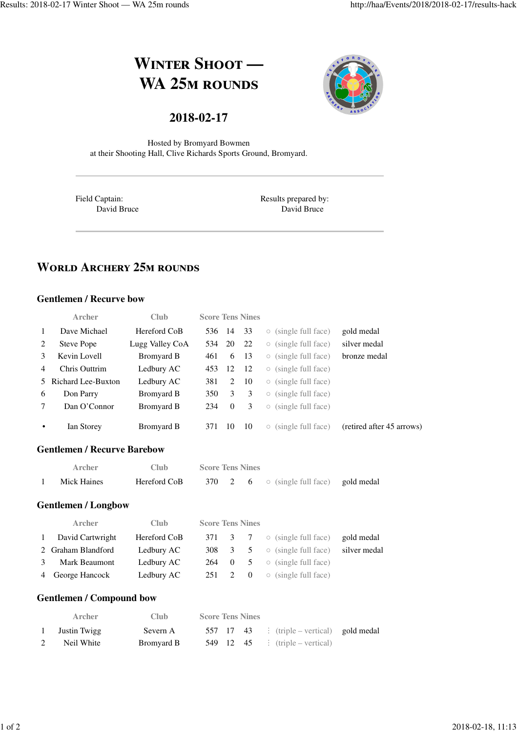# **WINTER SHOOT — WA 25M ROUNDS**



# **2018-02-17**

Hosted by Bromyard Bowmen at their Shooting Hall, Clive Richards Sports Ground, Bromyard.

Field Captain: David Bruce Results prepared by: David Bruce

# **WORLD ARCHERY 25M ROUNDS**

#### **Gentlemen / Recurve bow**

|               | Archer               | Club            |        |          | <b>Score Tens Nines</b> |                                           |                           |
|---------------|----------------------|-----------------|--------|----------|-------------------------|-------------------------------------------|---------------------------|
| 1             | Dave Michael         | Hereford CoB    | 536 14 |          | 33                      | $\circ$ (single full face)                | gold medal                |
| 2             | Steve Pope           | Lugg Valley CoA | 534    | 20       | 22                      | $\circ$ (single full face)                | silver medal              |
| $\mathcal{E}$ | Kevin Lovell         | Bromyard B      | 461    | 6        | -13                     | $\circ$ (single full face)                | bronze medal              |
| 4             | Chris Outtrim        | Ledbury AC      | 453    | 12       | -12                     | $\circ$ (single full face)                |                           |
|               | 5 Richard Lee-Buxton | Ledbury AC      | 381    | 2        | 10                      | $\circ$ (single full face)                |                           |
| 6             | Don Parry            | Bromyard B      | 350    | 3        | 3                       | (single full face)<br>$\circlearrowright$ |                           |
| 7             | Dan O'Connor         | Bromyard B      | 234    | $\Omega$ | 3                       | (single full face)<br>$\circlearrowright$ |                           |
| $\bullet$     | Ian Storey           | Bromyard B      | 371    | 10       | 10                      | (single full face)<br>$\circ$             | (retired after 45 arrows) |

#### **Gentlemen / Recurve Barebow**

| Archer      | Club         | <b>Score Tens Nines</b> |  |                                                                 |  |
|-------------|--------------|-------------------------|--|-----------------------------------------------------------------|--|
| Mick Haines | Hereford CoB |                         |  | $370 \quad 2 \quad 6 \quad \circ$ (single full face) gold medal |  |

#### **Gentlemen / Longbow**

|              | <b>Archer</b>      | Club         | <b>Score Tens Nines</b> |               |                |                                                             |              |
|--------------|--------------------|--------------|-------------------------|---------------|----------------|-------------------------------------------------------------|--------------|
| $\mathbf{1}$ | David Cartwright   | Hereford CoB |                         |               |                | $371 \quad 3 \quad 7 \quad \circ \text{(single full face)}$ | gold medal   |
|              | 2 Graham Blandford | Ledbury AC   | 308                     | $\mathcal{E}$ | 5              | $\circ$ (single full face)                                  | silver medal |
|              | Mark Beaumont      | Ledbury AC   | 264 0                   |               | 5 <sup>5</sup> | $\circ$ (single full face)                                  |              |
|              | 4 George Hancock   | Ledbury AC   | 251 2                   |               | $\overline{0}$ | $\circ$ (single full face)                                  |              |

#### **Gentlemen / Compound bow**

| Archer       | Club.      | <b>Score Tens Nines</b> |  |                                            |  |
|--------------|------------|-------------------------|--|--------------------------------------------|--|
| Justin Twigg | Severn A   |                         |  | 557 17 43 : (triple – vertical) gold medal |  |
| Neil White   | Bromvard B |                         |  | 549 12 45 $\vdots$ (triple – vertical)     |  |